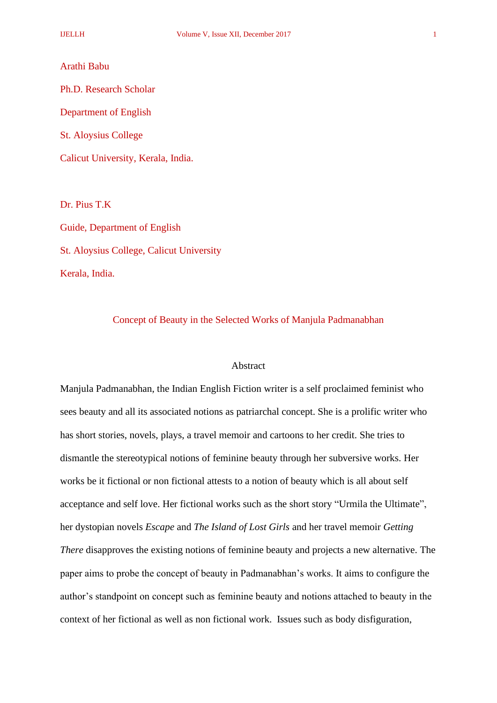#### Arathi Babu

Ph.D. Research Scholar Department of English St. Aloysius College

Calicut University, Kerala, India.

Dr. Pius T.K

Guide, Department of English St. Aloysius College, Calicut University Kerala, India.

# Concept of Beauty in the Selected Works of Manjula Padmanabhan

## Abstract

Manjula Padmanabhan, the Indian English Fiction writer is a self proclaimed feminist who sees beauty and all its associated notions as patriarchal concept. She is a prolific writer who has short stories, novels, plays, a travel memoir and cartoons to her credit. She tries to dismantle the stereotypical notions of feminine beauty through her subversive works. Her works be it fictional or non fictional attests to a notion of beauty which is all about self acceptance and self love. Her fictional works such as the short story "Urmila the Ultimate", her dystopian novels *Escape* and *The Island of Lost Girls* and her travel memoir *Getting There* disapproves the existing notions of feminine beauty and projects a new alternative. The paper aims to probe the concept of beauty in Padmanabhan's works. It aims to configure the author's standpoint on concept such as feminine beauty and notions attached to beauty in the context of her fictional as well as non fictional work. Issues such as body disfiguration,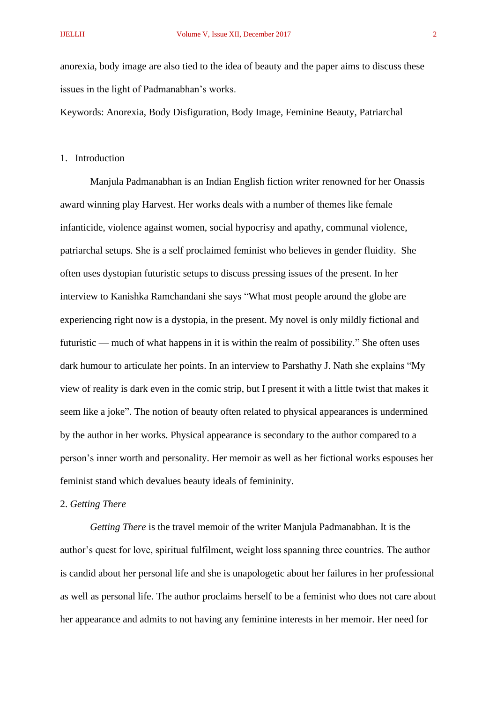anorexia, body image are also tied to the idea of beauty and the paper aims to discuss these issues in the light of Padmanabhan's works.

Keywords: Anorexia, Body Disfiguration, Body Image, Feminine Beauty, Patriarchal

1. Introduction

Manjula Padmanabhan is an Indian English fiction writer renowned for her Onassis award winning play Harvest. Her works deals with a number of themes like female infanticide, violence against women, social hypocrisy and apathy, communal violence, patriarchal setups. She is a self proclaimed feminist who believes in gender fluidity. She often uses dystopian futuristic setups to discuss pressing issues of the present. In her interview to Kanishka Ramchandani she says "What most people around the globe are experiencing right now is a dystopia, in the present. My novel is only mildly fictional and futuristic — much of what happens in it is within the realm of possibility." She often uses dark humour to articulate her points. In an interview to Parshathy J. Nath she explains "My view of reality is dark even in the comic strip, but I present it with a little twist that makes it seem like a joke". The notion of beauty often related to physical appearances is undermined by the author in her works. Physical appearance is secondary to the author compared to a person's inner worth and personality. Her memoir as well as her fictional works espouses her feminist stand which devalues beauty ideals of femininity.

2. *Getting There*

*Getting There* is the travel memoir of the writer Manjula Padmanabhan. It is the author's quest for love, spiritual fulfilment, weight loss spanning three countries. The author is candid about her personal life and she is unapologetic about her failures in her professional as well as personal life. The author proclaims herself to be a feminist who does not care about her appearance and admits to not having any feminine interests in her memoir. Her need for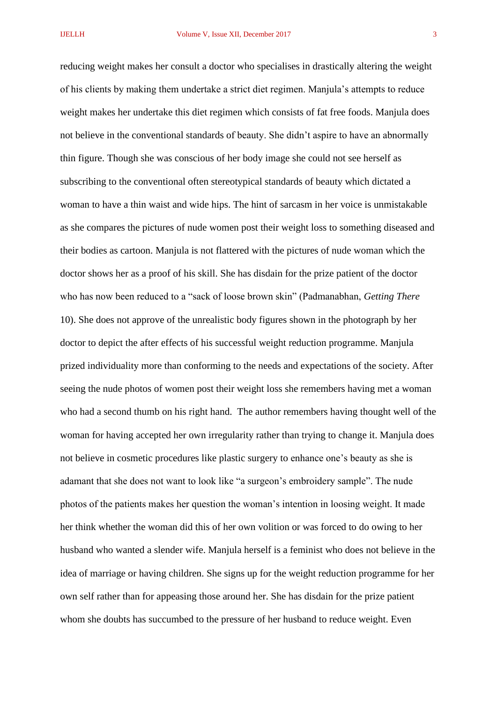reducing weight makes her consult a doctor who specialises in drastically altering the weight of his clients by making them undertake a strict diet regimen. Manjula's attempts to reduce weight makes her undertake this diet regimen which consists of fat free foods. Manjula does not believe in the conventional standards of beauty. She didn't aspire to have an abnormally thin figure. Though she was conscious of her body image she could not see herself as subscribing to the conventional often stereotypical standards of beauty which dictated a woman to have a thin waist and wide hips. The hint of sarcasm in her voice is unmistakable as she compares the pictures of nude women post their weight loss to something diseased and their bodies as cartoon. Manjula is not flattered with the pictures of nude woman which the doctor shows her as a proof of his skill. She has disdain for the prize patient of the doctor who has now been reduced to a "sack of loose brown skin" (Padmanabhan, *Getting There* 10). She does not approve of the unrealistic body figures shown in the photograph by her doctor to depict the after effects of his successful weight reduction programme. Manjula prized individuality more than conforming to the needs and expectations of the society. After seeing the nude photos of women post their weight loss she remembers having met a woman who had a second thumb on his right hand. The author remembers having thought well of the woman for having accepted her own irregularity rather than trying to change it. Manjula does not believe in cosmetic procedures like plastic surgery to enhance one's beauty as she is adamant that she does not want to look like "a surgeon's embroidery sample". The nude photos of the patients makes her question the woman's intention in loosing weight. It made her think whether the woman did this of her own volition or was forced to do owing to her husband who wanted a slender wife. Manjula herself is a feminist who does not believe in the idea of marriage or having children. She signs up for the weight reduction programme for her own self rather than for appeasing those around her. She has disdain for the prize patient whom she doubts has succumbed to the pressure of her husband to reduce weight. Even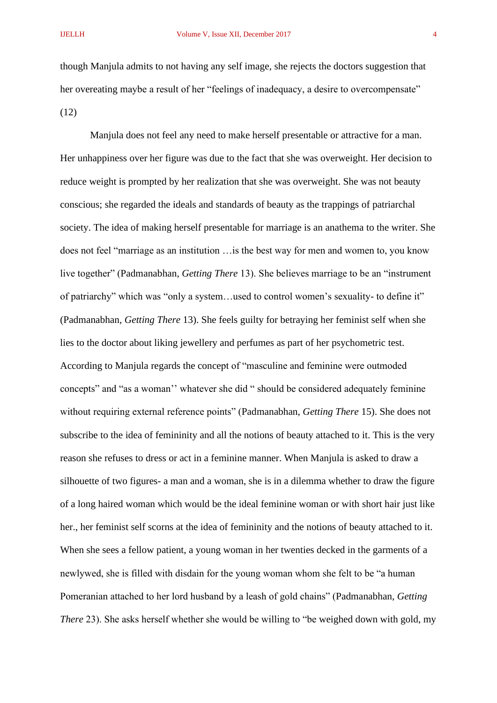though Manjula admits to not having any self image, she rejects the doctors suggestion that her overeating maybe a result of her "feelings of inadequacy, a desire to overcompensate" (12)

Manjula does not feel any need to make herself presentable or attractive for a man. Her unhappiness over her figure was due to the fact that she was overweight. Her decision to reduce weight is prompted by her realization that she was overweight. She was not beauty conscious; she regarded the ideals and standards of beauty as the trappings of patriarchal society. The idea of making herself presentable for marriage is an anathema to the writer. She does not feel "marriage as an institution …is the best way for men and women to, you know live together" (Padmanabhan, *Getting There* 13). She believes marriage to be an "instrument of patriarchy" which was "only a system…used to control women's sexuality- to define it" (Padmanabhan, *Getting There* 13). She feels guilty for betraying her feminist self when she lies to the doctor about liking jewellery and perfumes as part of her psychometric test. According to Manjula regards the concept of "masculine and feminine were outmoded concepts" and "as a woman'' whatever she did " should be considered adequately feminine without requiring external reference points" (Padmanabhan, *Getting There* 15). She does not subscribe to the idea of femininity and all the notions of beauty attached to it. This is the very reason she refuses to dress or act in a feminine manner. When Manjula is asked to draw a silhouette of two figures- a man and a woman, she is in a dilemma whether to draw the figure of a long haired woman which would be the ideal feminine woman or with short hair just like her., her feminist self scorns at the idea of femininity and the notions of beauty attached to it. When she sees a fellow patient, a young woman in her twenties decked in the garments of a newlywed, she is filled with disdain for the young woman whom she felt to be "a human Pomeranian attached to her lord husband by a leash of gold chains" (Padmanabhan, *Getting There* 23). She asks herself whether she would be willing to "be weighed down with gold, my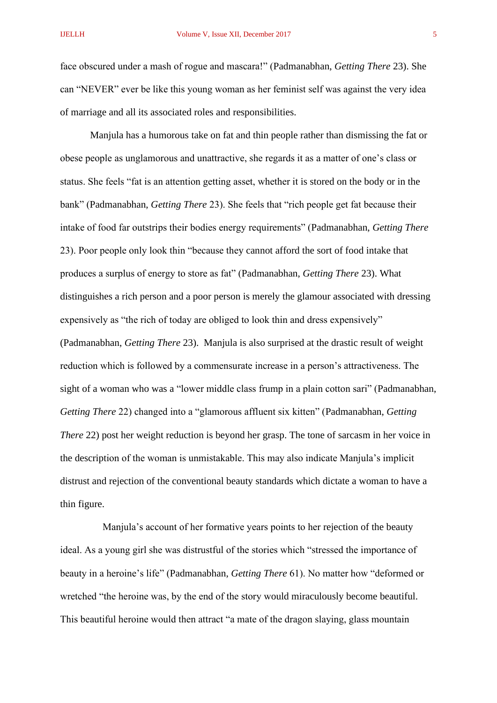face obscured under a mash of rogue and mascara!" (Padmanabhan, *Getting There* 23). She can "NEVER" ever be like this young woman as her feminist self was against the very idea of marriage and all its associated roles and responsibilities.

Manjula has a humorous take on fat and thin people rather than dismissing the fat or obese people as unglamorous and unattractive, she regards it as a matter of one's class or status. She feels "fat is an attention getting asset, whether it is stored on the body or in the bank" (Padmanabhan, *Getting There* 23). She feels that "rich people get fat because their intake of food far outstrips their bodies energy requirements" (Padmanabhan, *Getting There* 23). Poor people only look thin "because they cannot afford the sort of food intake that produces a surplus of energy to store as fat" (Padmanabhan, *Getting There* 23). What distinguishes a rich person and a poor person is merely the glamour associated with dressing expensively as "the rich of today are obliged to look thin and dress expensively" (Padmanabhan, *Getting There* 23). Manjula is also surprised at the drastic result of weight reduction which is followed by a commensurate increase in a person's attractiveness. The sight of a woman who was a "lower middle class frump in a plain cotton sari" (Padmanabhan, *Getting There* 22) changed into a "glamorous affluent six kitten" (Padmanabhan, *Getting There* 22) post her weight reduction is beyond her grasp. The tone of sarcasm in her voice in the description of the woman is unmistakable. This may also indicate Manjula's implicit distrust and rejection of the conventional beauty standards which dictate a woman to have a thin figure.

 Manjula's account of her formative years points to her rejection of the beauty ideal. As a young girl she was distrustful of the stories which "stressed the importance of beauty in a heroine's life" (Padmanabhan, *Getting There* 61). No matter how "deformed or wretched "the heroine was, by the end of the story would miraculously become beautiful. This beautiful heroine would then attract "a mate of the dragon slaying, glass mountain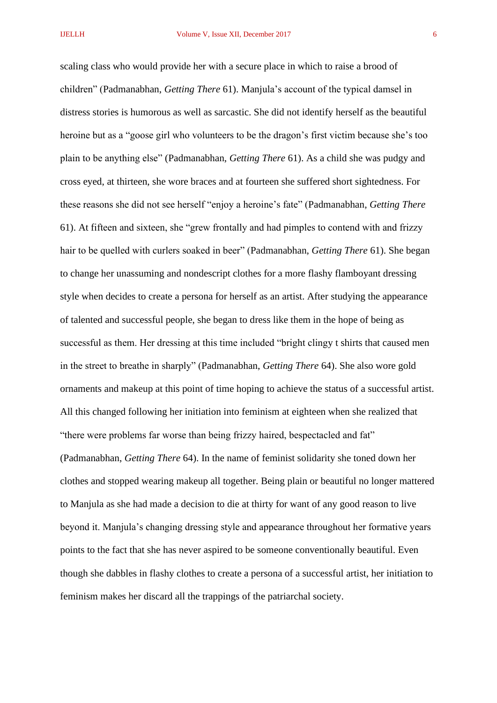scaling class who would provide her with a secure place in which to raise a brood of children" (Padmanabhan, *Getting There* 61). Manjula's account of the typical damsel in distress stories is humorous as well as sarcastic. She did not identify herself as the beautiful heroine but as a "goose girl who volunteers to be the dragon's first victim because she's too plain to be anything else" (Padmanabhan, *Getting There* 61). As a child she was pudgy and cross eyed, at thirteen, she wore braces and at fourteen she suffered short sightedness. For these reasons she did not see herself "enjoy a heroine's fate" (Padmanabhan, *Getting There* 61). At fifteen and sixteen, she "grew frontally and had pimples to contend with and frizzy hair to be quelled with curlers soaked in beer" (Padmanabhan, *Getting There* 61). She began to change her unassuming and nondescript clothes for a more flashy flamboyant dressing style when decides to create a persona for herself as an artist. After studying the appearance of talented and successful people, she began to dress like them in the hope of being as successful as them. Her dressing at this time included "bright clingy t shirts that caused men in the street to breathe in sharply" (Padmanabhan, *Getting There* 64). She also wore gold ornaments and makeup at this point of time hoping to achieve the status of a successful artist. All this changed following her initiation into feminism at eighteen when she realized that "there were problems far worse than being frizzy haired, bespectacled and fat" (Padmanabhan, *Getting There* 64). In the name of feminist solidarity she toned down her clothes and stopped wearing makeup all together. Being plain or beautiful no longer mattered to Manjula as she had made a decision to die at thirty for want of any good reason to live beyond it. Manjula's changing dressing style and appearance throughout her formative years points to the fact that she has never aspired to be someone conventionally beautiful. Even though she dabbles in flashy clothes to create a persona of a successful artist, her initiation to feminism makes her discard all the trappings of the patriarchal society.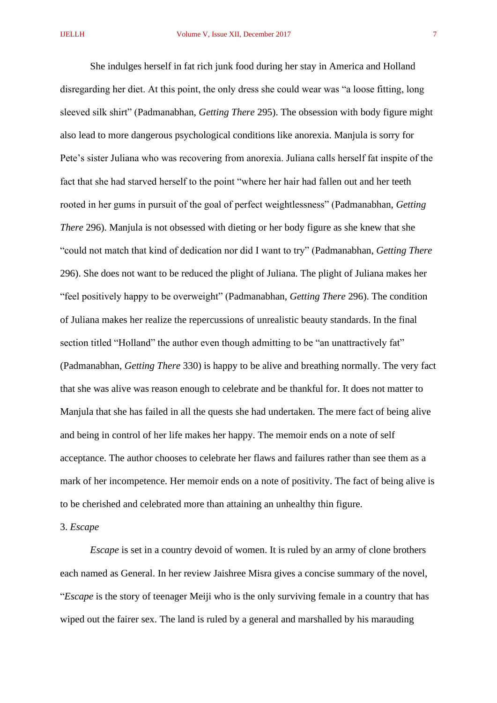She indulges herself in fat rich junk food during her stay in America and Holland disregarding her diet. At this point, the only dress she could wear was "a loose fitting, long sleeved silk shirt" (Padmanabhan, *Getting There* 295). The obsession with body figure might also lead to more dangerous psychological conditions like anorexia. Manjula is sorry for Pete's sister Juliana who was recovering from anorexia. Juliana calls herself fat inspite of the fact that she had starved herself to the point "where her hair had fallen out and her teeth rooted in her gums in pursuit of the goal of perfect weightlessness" (Padmanabhan, *Getting There* 296). Manjula is not obsessed with dieting or her body figure as she knew that she "could not match that kind of dedication nor did I want to try" (Padmanabhan, *Getting There* 296). She does not want to be reduced the plight of Juliana. The plight of Juliana makes her "feel positively happy to be overweight" (Padmanabhan, *Getting There* 296). The condition of Juliana makes her realize the repercussions of unrealistic beauty standards. In the final section titled "Holland" the author even though admitting to be "an unattractively fat" (Padmanabhan, *Getting There* 330) is happy to be alive and breathing normally. The very fact that she was alive was reason enough to celebrate and be thankful for. It does not matter to Manjula that she has failed in all the quests she had undertaken. The mere fact of being alive and being in control of her life makes her happy. The memoir ends on a note of self acceptance. The author chooses to celebrate her flaws and failures rather than see them as a mark of her incompetence. Her memoir ends on a note of positivity. The fact of being alive is to be cherished and celebrated more than attaining an unhealthy thin figure.

3. *Escape*

*Escape* is set in a country devoid of women. It is ruled by an army of clone brothers each named as General. In her review Jaishree Misra gives a concise summary of the novel, "*Escape* is the story of teenager Meiji who is the only surviving female in a country that has wiped out the fairer sex. The land is ruled by a general and marshalled by his marauding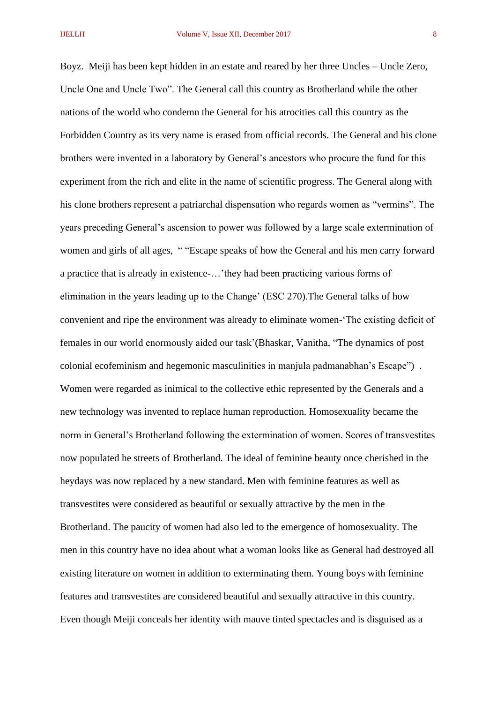Boyz. Meiji has been kept hidden in an estate and reared by her three Uncles – Uncle Zero, Uncle One and Uncle Two". The General call this country as Brotherland while the other nations of the world who condemn the General for his atrocities call this country as the Forbidden Country as its very name is erased from official records. The General and his clone brothers were invented in a laboratory by General's ancestors who procure the fund for this experiment from the rich and elite in the name of scientific progress. The General along with his clone brothers represent a patriarchal dispensation who regards women as "vermins". The years preceding General's ascension to power was followed by a large scale extermination of women and girls of all ages, " "Escape speaks of how the General and his men carry forward a practice that is already in existence-…'they had been practicing various forms of elimination in the years leading up to the Change' (ESC 270).The General talks of how convenient and ripe the environment was already to eliminate women-'The existing deficit of females in our world enormously aided our task'(Bhaskar, Vanitha, "The dynamics of post colonial ecofeminism and hegemonic masculinities in manjula padmanabhan's Escape") . Women were regarded as inimical to the collective ethic represented by the Generals and a new technology was invented to replace human reproduction. Homosexuality became the norm in General's Brotherland following the extermination of women. Scores of transvestites now populated he streets of Brotherland. The ideal of feminine beauty once cherished in the heydays was now replaced by a new standard. Men with feminine features as well as transvestites were considered as beautiful or sexually attractive by the men in the Brotherland. The paucity of women had also led to the emergence of homosexuality. The men in this country have no idea about what a woman looks like as General had destroyed all existing literature on women in addition to exterminating them. Young boys with feminine features and transvestites are considered beautiful and sexually attractive in this country. Even though Meiji conceals her identity with mauve tinted spectacles and is disguised as a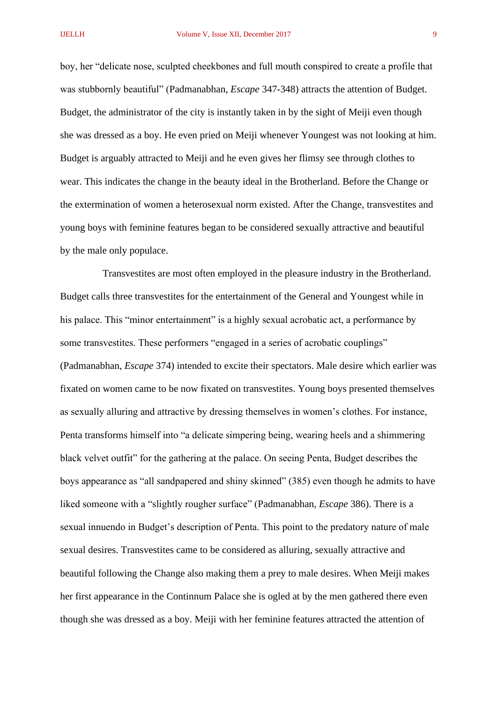boy, her "delicate nose, sculpted cheekbones and full mouth conspired to create a profile that was stubbornly beautiful" (Padmanabhan, *Escape* 347-348) attracts the attention of Budget. Budget, the administrator of the city is instantly taken in by the sight of Meiji even though she was dressed as a boy. He even pried on Meiji whenever Youngest was not looking at him. Budget is arguably attracted to Meiji and he even gives her flimsy see through clothes to wear. This indicates the change in the beauty ideal in the Brotherland. Before the Change or the extermination of women a heterosexual norm existed. After the Change, transvestites and young boys with feminine features began to be considered sexually attractive and beautiful by the male only populace.

 Transvestites are most often employed in the pleasure industry in the Brotherland. Budget calls three transvestites for the entertainment of the General and Youngest while in his palace. This "minor entertainment" is a highly sexual acrobatic act, a performance by some transvestites. These performers "engaged in a series of acrobatic couplings" (Padmanabhan, *Escape* 374) intended to excite their spectators. Male desire which earlier was fixated on women came to be now fixated on transvestites. Young boys presented themselves as sexually alluring and attractive by dressing themselves in women's clothes. For instance, Penta transforms himself into "a delicate simpering being, wearing heels and a shimmering black velvet outfit" for the gathering at the palace. On seeing Penta, Budget describes the boys appearance as "all sandpapered and shiny skinned" (385) even though he admits to have liked someone with a "slightly rougher surface" (Padmanabhan, *Escape* 386). There is a sexual innuendo in Budget's description of Penta. This point to the predatory nature of male sexual desires. Transvestites came to be considered as alluring, sexually attractive and beautiful following the Change also making them a prey to male desires. When Meiji makes her first appearance in the Continnum Palace she is ogled at by the men gathered there even though she was dressed as a boy. Meiji with her feminine features attracted the attention of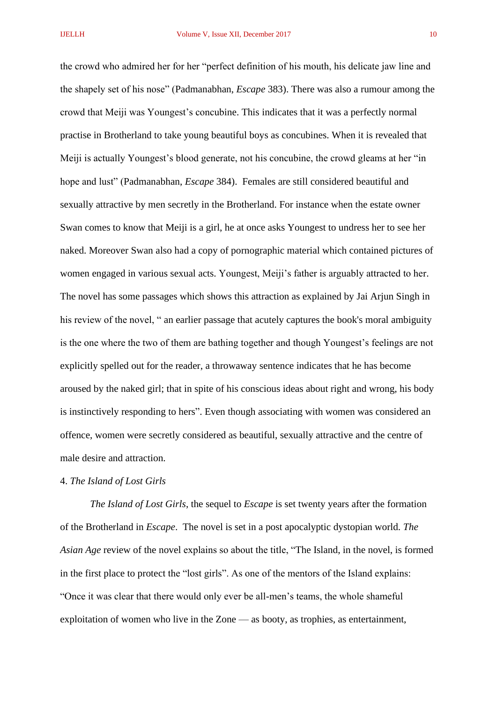the crowd who admired her for her "perfect definition of his mouth, his delicate jaw line and the shapely set of his nose" (Padmanabhan, *Escape* 383). There was also a rumour among the crowd that Meiji was Youngest's concubine. This indicates that it was a perfectly normal practise in Brotherland to take young beautiful boys as concubines. When it is revealed that Meiji is actually Youngest's blood generate, not his concubine, the crowd gleams at her "in hope and lust" (Padmanabhan, *Escape* 384). Females are still considered beautiful and sexually attractive by men secretly in the Brotherland. For instance when the estate owner Swan comes to know that Meiji is a girl, he at once asks Youngest to undress her to see her naked. Moreover Swan also had a copy of pornographic material which contained pictures of women engaged in various sexual acts. Youngest, Meiji's father is arguably attracted to her. The novel has some passages which shows this attraction as explained by Jai Arjun Singh in his review of the novel, " an earlier passage that acutely captures the book's moral ambiguity is the one where the two of them are bathing together and though Youngest's feelings are not explicitly spelled out for the reader, a throwaway sentence indicates that he has become aroused by the naked girl; that in spite of his conscious ideas about right and wrong, his body is instinctively responding to hers". Even though associating with women was considered an offence, women were secretly considered as beautiful, sexually attractive and the centre of male desire and attraction.

### 4. *The Island of Lost Girls*

*The Island of Lost Girls*, the sequel to *Escape* is set twenty years after the formation of the Brotherland in *Escape*. The novel is set in a post apocalyptic dystopian world. *The Asian Age* review of the novel explains so about the title, "The Island, in the novel, is formed in the first place to protect the "lost girls". As one of the mentors of the Island explains: "Once it was clear that there would only ever be all-men's teams, the whole shameful exploitation of women who live in the Zone — as booty, as trophies, as entertainment,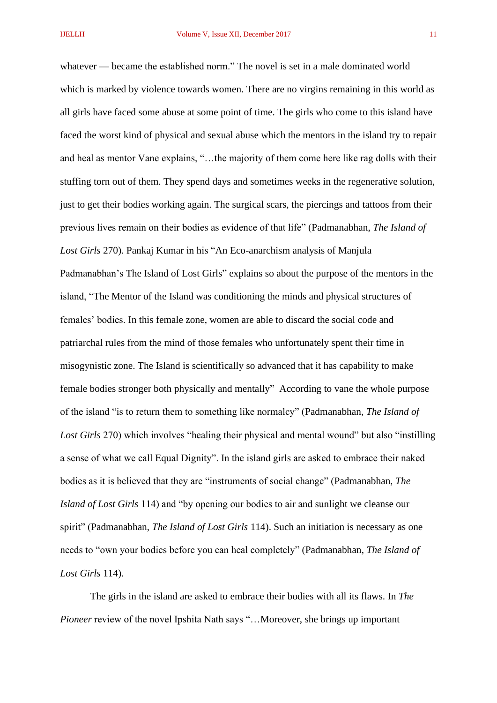whatever — became the established norm." The novel is set in a male dominated world which is marked by violence towards women. There are no virgins remaining in this world as all girls have faced some abuse at some point of time. The girls who come to this island have faced the worst kind of physical and sexual abuse which the mentors in the island try to repair and heal as mentor Vane explains, "…the majority of them come here like rag dolls with their stuffing torn out of them. They spend days and sometimes weeks in the regenerative solution, just to get their bodies working again. The surgical scars, the piercings and tattoos from their previous lives remain on their bodies as evidence of that life" (Padmanabhan, *The Island of Lost Girls* 270). Pankaj Kumar in his "An Eco-anarchism analysis of Manjula Padmanabhan's The Island of Lost Girls" explains so about the purpose of the mentors in the island, "The Mentor of the Island was conditioning the minds and physical structures of females' bodies. In this female zone, women are able to discard the social code and patriarchal rules from the mind of those females who unfortunately spent their time in misogynistic zone. The Island is scientifically so advanced that it has capability to make female bodies stronger both physically and mentally" According to vane the whole purpose of the island "is to return them to something like normalcy" (Padmanabhan, *The Island of Lost Girls* 270) which involves "healing their physical and mental wound" but also "instilling a sense of what we call Equal Dignity". In the island girls are asked to embrace their naked bodies as it is believed that they are "instruments of social change" (Padmanabhan, *The Island of Lost Girls* 114) and "by opening our bodies to air and sunlight we cleanse our spirit" (Padmanabhan, *The Island of Lost Girls* 114). Such an initiation is necessary as one needs to "own your bodies before you can heal completely" (Padmanabhan, *The Island of Lost Girls* 114).

The girls in the island are asked to embrace their bodies with all its flaws. In *The Pioneer* review of the novel Ipshita Nath says "…Moreover, she brings up important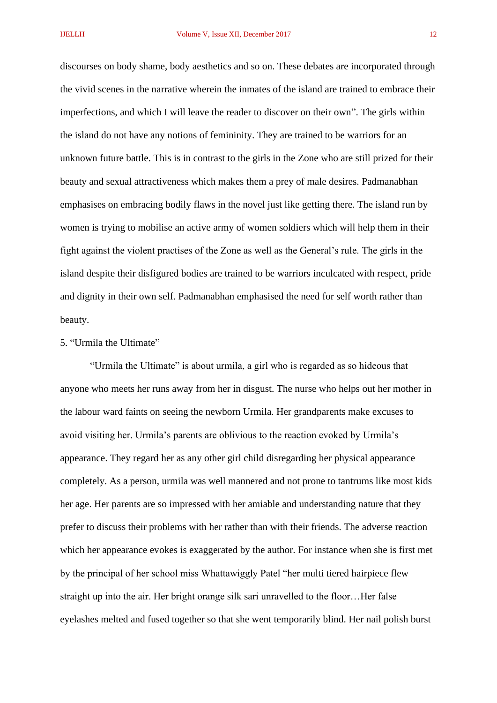discourses on body shame, body aesthetics and so on. These debates are incorporated through the vivid scenes in the narrative wherein the inmates of the island are trained to embrace their imperfections, and which I will leave the reader to discover on their own". The girls within the island do not have any notions of femininity. They are trained to be warriors for an unknown future battle. This is in contrast to the girls in the Zone who are still prized for their beauty and sexual attractiveness which makes them a prey of male desires. Padmanabhan emphasises on embracing bodily flaws in the novel just like getting there. The island run by women is trying to mobilise an active army of women soldiers which will help them in their fight against the violent practises of the Zone as well as the General's rule. The girls in the island despite their disfigured bodies are trained to be warriors inculcated with respect, pride and dignity in their own self. Padmanabhan emphasised the need for self worth rather than beauty.

# 5. "Urmila the Ultimate"

"Urmila the Ultimate" is about urmila, a girl who is regarded as so hideous that anyone who meets her runs away from her in disgust. The nurse who helps out her mother in the labour ward faints on seeing the newborn Urmila. Her grandparents make excuses to avoid visiting her. Urmila's parents are oblivious to the reaction evoked by Urmila's appearance. They regard her as any other girl child disregarding her physical appearance completely. As a person, urmila was well mannered and not prone to tantrums like most kids her age. Her parents are so impressed with her amiable and understanding nature that they prefer to discuss their problems with her rather than with their friends. The adverse reaction which her appearance evokes is exaggerated by the author. For instance when she is first met by the principal of her school miss Whattawiggly Patel "her multi tiered hairpiece flew straight up into the air. Her bright orange silk sari unravelled to the floor…Her false eyelashes melted and fused together so that she went temporarily blind. Her nail polish burst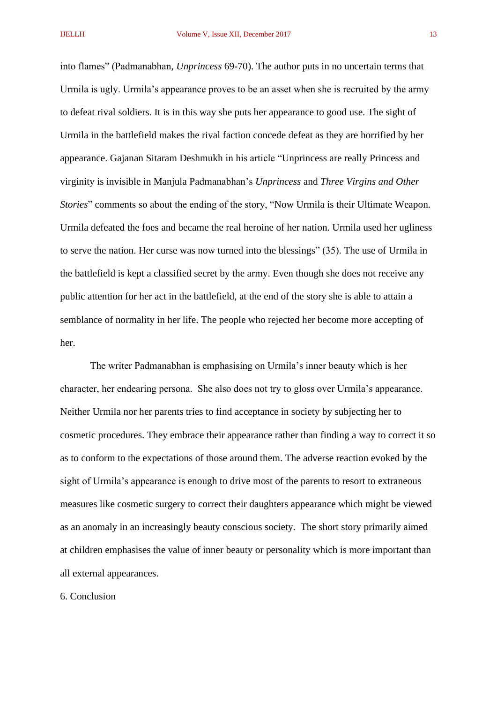into flames" (Padmanabhan, *Unprincess* 69-70). The author puts in no uncertain terms that Urmila is ugly. Urmila's appearance proves to be an asset when she is recruited by the army to defeat rival soldiers. It is in this way she puts her appearance to good use. The sight of Urmila in the battlefield makes the rival faction concede defeat as they are horrified by her appearance. Gajanan Sitaram Deshmukh in his article "Unprincess are really Princess and virginity is invisible in Manjula Padmanabhan's *Unprincess* and *Three Virgins and Other Stories*" comments so about the ending of the story, "Now Urmila is their Ultimate Weapon. Urmila defeated the foes and became the real heroine of her nation. Urmila used her ugliness to serve the nation. Her curse was now turned into the blessings" (35). The use of Urmila in the battlefield is kept a classified secret by the army. Even though she does not receive any public attention for her act in the battlefield, at the end of the story she is able to attain a semblance of normality in her life. The people who rejected her become more accepting of her.

The writer Padmanabhan is emphasising on Urmila's inner beauty which is her character, her endearing persona. She also does not try to gloss over Urmila's appearance. Neither Urmila nor her parents tries to find acceptance in society by subjecting her to cosmetic procedures. They embrace their appearance rather than finding a way to correct it so as to conform to the expectations of those around them. The adverse reaction evoked by the sight of Urmila's appearance is enough to drive most of the parents to resort to extraneous measures like cosmetic surgery to correct their daughters appearance which might be viewed as an anomaly in an increasingly beauty conscious society. The short story primarily aimed at children emphasises the value of inner beauty or personality which is more important than all external appearances.

### 6. Conclusion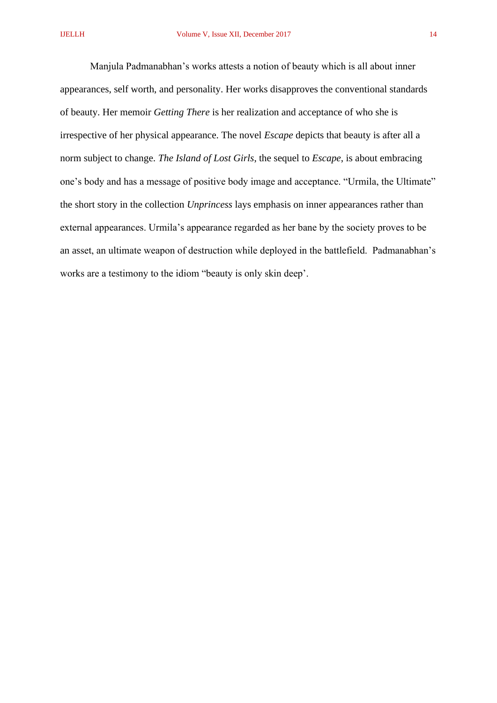Manjula Padmanabhan's works attests a notion of beauty which is all about inner appearances, self worth, and personality. Her works disapproves the conventional standards of beauty. Her memoir *Getting There* is her realization and acceptance of who she is irrespective of her physical appearance. The novel *Escape* depicts that beauty is after all a norm subject to change. *The Island of Lost Girls*, the sequel to *Escape*, is about embracing one's body and has a message of positive body image and acceptance. "Urmila, the Ultimate" the short story in the collection *Unprincess* lays emphasis on inner appearances rather than external appearances. Urmila's appearance regarded as her bane by the society proves to be an asset, an ultimate weapon of destruction while deployed in the battlefield. Padmanabhan's works are a testimony to the idiom "beauty is only skin deep'.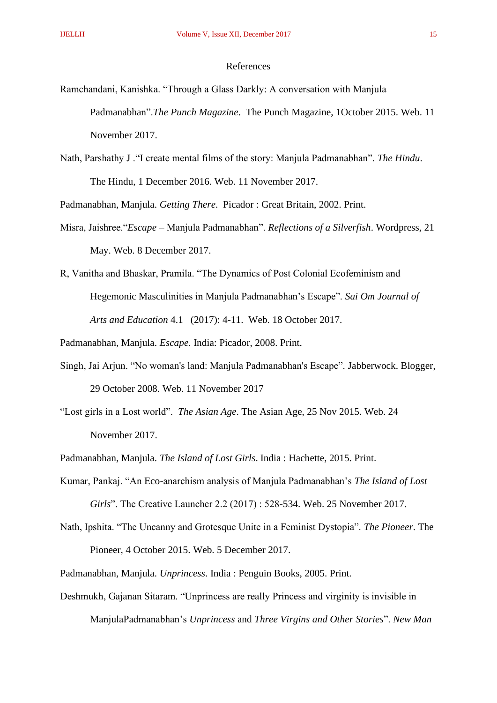### References

- Ramchandani, Kanishka. "Through a Glass Darkly: A conversation with Manjula Padmanabhan".*The Punch Magazine*. The Punch Magazine, 1October 2015. Web. 11 November 2017.
- Nath, Parshathy J ."I create mental films of the story: Manjula Padmanabhan". *The Hindu*. The Hindu, 1 December 2016. Web. 11 November 2017.

Padmanabhan, Manjula. *Getting There*. Picador : Great Britain, 2002. Print.

- Misra, Jaishree."*Escape* Manjula Padmanabhan". *Reflections of a Silverfish*. Wordpress, 21 May. Web. 8 December 2017.
- R, Vanitha and Bhaskar, Pramila. "The Dynamics of Post Colonial Ecofeminism and Hegemonic Masculinities in Manjula Padmanabhan's Escape". *Sai Om Journal of Arts and Education* 4.1 (2017): 4-11. Web. 18 October 2017.

Padmanabhan, Manjula. *Escape*. India: Picador, 2008. Print.

- Singh, Jai Arjun. "No woman's land: Manjula Padmanabhan's Escape". Jabberwock. Blogger, 29 October 2008. Web. 11 November 2017
- "Lost girls in a Lost world". *The Asian Age*. The Asian Age, 25 Nov 2015. Web. 24 November 2017.

Padmanabhan, Manjula. *The Island of Lost Girls*. India : Hachette, 2015. Print.

- Kumar, Pankaj. "An Eco-anarchism analysis of Manjula Padmanabhan's *The Island of Lost Girls*". The Creative Launcher 2.2 (2017) : 528-534. Web. 25 November 2017.
- Nath, Ipshita. "The Uncanny and Grotesque Unite in a Feminist Dystopia". *The Pioneer*. The Pioneer, 4 October 2015. Web. 5 December 2017.
- Padmanabhan, Manjula. *Unprincess*. India : Penguin Books, 2005. Print.
- Deshmukh, Gajanan Sitaram. "Unprincess are really Princess and virginity is invisible in ManjulaPadmanabhan's *Unprincess* and *Three Virgins and Other Stories*". *New Man*